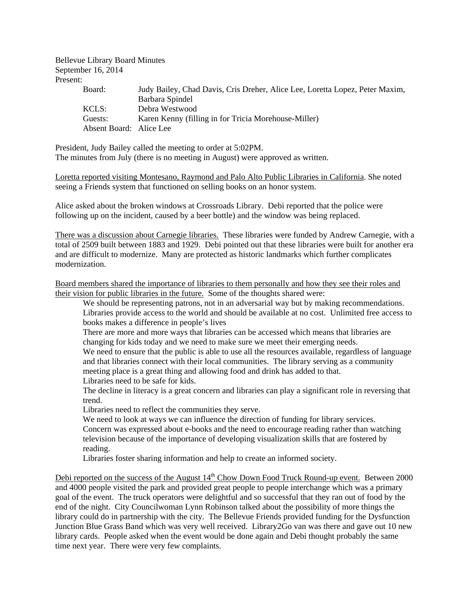Bellevue Library Board Minutes September 16, 2014 Present:

| Judy Bailey, Chad Davis, Cris Dreher, Alice Lee, Loretta Lopez, Peter Maxim, |
|------------------------------------------------------------------------------|
| Barbara Spindel                                                              |
|                                                                              |
| Debra Westwood                                                               |
| Karen Kenny (filling in for Tricia Morehouse-Miller)                         |
| Absent Board: Alice Lee                                                      |
|                                                                              |

President, Judy Bailey called the meeting to order at 5:02PM. The minutes from July (there is no meeting in August) were approved as written.

Loretta reported visiting Montesano, Raymond and Palo Alto Public Libraries in California. She noted seeing a Friends system that functioned on selling books on an honor system.

Alice asked about the broken windows at Crossroads Library. Debi reported that the police were following up on the incident, caused by a beer bottle) and the window was being replaced.

There was a discussion about Carnegie libraries. These libraries were funded by Andrew Carnegie, with a total of 2509 built between 1883 and 1929. Debi pointed out that these libraries were built for another era and are difficult to modernize. Many are protected as historic landmarks which further complicates modernization.

Board members shared the importance of libraries to them personally and how they see their roles and their vision for public libraries in the future. Some of the thoughts shared were:

We should be representing patrons, not in an adversarial way but by making recommendations. Libraries provide access to the world and should be available at no cost. Unlimited free access to books makes a difference in people's lives

There are more and more ways that libraries can be accessed which means that libraries are changing for kids today and we need to make sure we meet their emerging needs.

We need to ensure that the public is able to use all the resources available, regardless of language and that libraries connect with their local communities. The library serving as a community meeting place is a great thing and allowing food and drink has added to that. Libraries need to be safe for kids.

The decline in literacy is a great concern and libraries can play a significant role in reversing that trend.

Libraries need to reflect the communities they serve.

We need to look at ways we can influence the direction of funding for library services. Concern was expressed about e-books and the need to encourage reading rather than watching television because of the importance of developing visualization skills that are fostered by reading.

Libraries foster sharing information and help to create an informed society.

Debi reported on the success of the August  $14<sup>th</sup>$  Chow Down Food Truck Round-up event. Between 2000 and 4000 people visited the park and provided great people to people interchange which was a primary goal of the event. The truck operators were delightful and so successful that they ran out of food by the end of the night. City Councilwoman Lynn Robinson talked about the possibility of more things the library could do in partnership with the city. The Bellevue Friends provided funding for the Dysfunction Junction Blue Grass Band which was very well received. Library2Go van was there and gave out 10 new library cards. People asked when the event would be done again and Debi thought probably the same time next year. There were very few complaints.